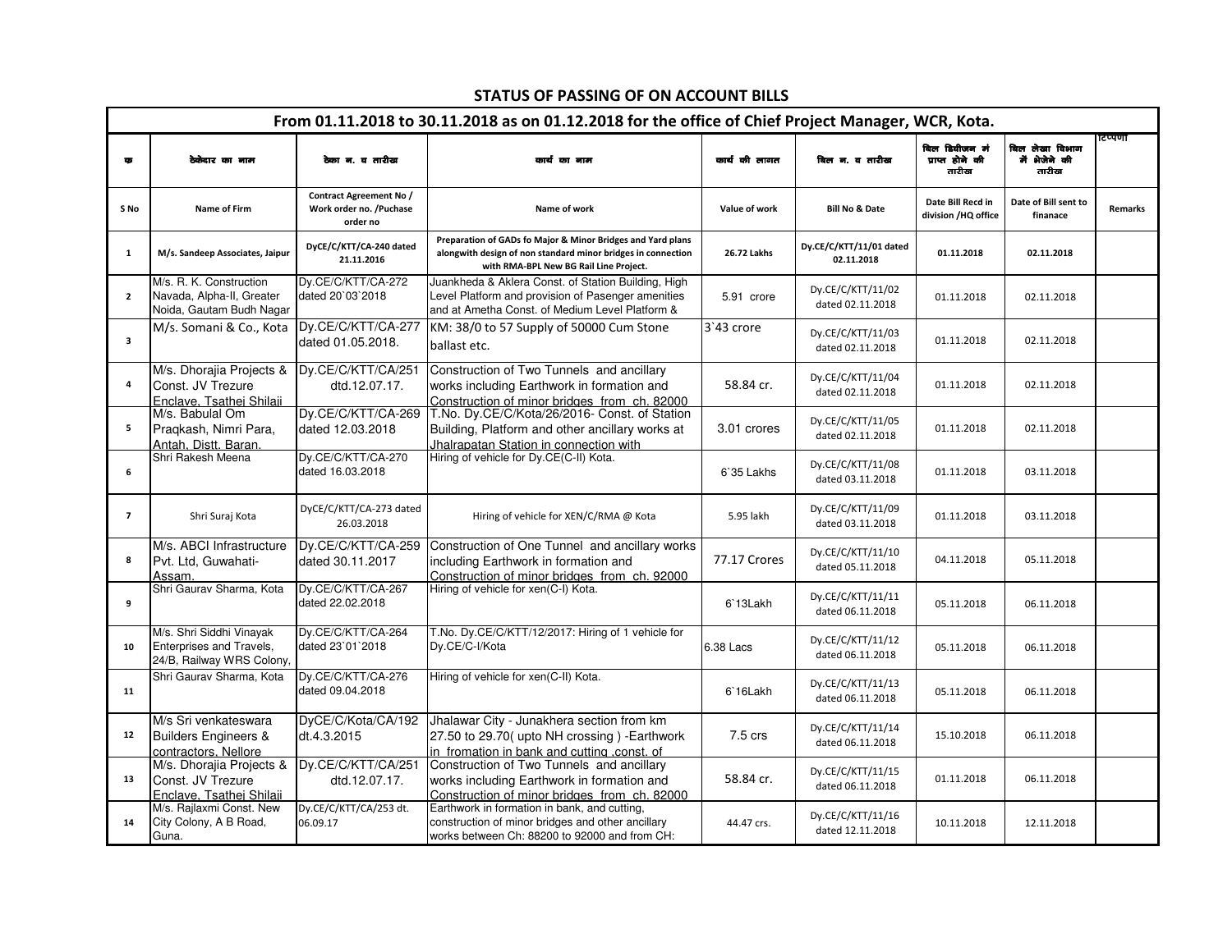| From 01.11.2018 to 30.11.2018 as on 01.12.2018 for the office of Chief Project Manager, WCR, Kota. |                                                                                   |                                                                |                                                                                                                                                                       |               |                                       |                                           |                                          |                |  |  |
|----------------------------------------------------------------------------------------------------|-----------------------------------------------------------------------------------|----------------------------------------------------------------|-----------------------------------------------------------------------------------------------------------------------------------------------------------------------|---------------|---------------------------------------|-------------------------------------------|------------------------------------------|----------------|--|--|
| क                                                                                                  | ठेकेदार का नाम                                                                    | ठेका न. व तारीख                                                | कार्य का नाम                                                                                                                                                          | कार्य की लागत | बिल न. व तारीख                        | बिल डिवीजन मं<br>प्राप्त होने की<br>तारीख | बिल लेखा विभाग<br>में भेजेने की<br>तारीख | टेप्पणी        |  |  |
| S No                                                                                               | Name of Firm                                                                      | Contract Agreement No /<br>Work order no. /Puchase<br>order no | Name of work                                                                                                                                                          | Value of work | <b>Bill No &amp; Date</b>             | Date Bill Recd in<br>division /HQ office  | Date of Bill sent to<br>finanace         | <b>Remarks</b> |  |  |
| $\mathbf{1}$                                                                                       | M/s. Sandeep Associates, Jaipur                                                   | DyCE/C/KTT/CA-240 dated<br>21.11.2016                          | Preparation of GADs fo Major & Minor Bridges and Yard plans<br>alongwith design of non standard minor bridges in connection<br>with RMA-BPL New BG Rail Line Project. | 26.72 Lakhs   | Dy.CE/C/KTT/11/01 dated<br>02.11.2018 | 01.11.2018                                | 02.11.2018                               |                |  |  |
| $\overline{2}$                                                                                     | M/s. R. K. Construction<br>Navada, Alpha-II, Greater<br>Noida, Gautam Budh Nagar  | Dy.CE/C/KTT/CA-272<br>dated 20'03'2018                         | Juankheda & Aklera Const. of Station Building, High<br>Level Platform and provision of Pasenger amenities<br>and at Ametha Const. of Medium Level Platform &          | 5.91 crore    | Dy.CE/C/KTT/11/02<br>dated 02.11.2018 | 01.11.2018                                | 02.11.2018                               |                |  |  |
| $\overline{\mathbf{3}}$                                                                            | M/s. Somani & Co., Kota                                                           | Dy.CE/C/KTT/CA-277<br>dated 01.05.2018.                        | KM: 38/0 to 57 Supply of 50000 Cum Stone<br>ballast etc.                                                                                                              | 3'43 crore    | Dy.CE/C/KTT/11/03<br>dated 02.11.2018 | 01.11.2018                                | 02.11.2018                               |                |  |  |
| $\pmb{4}$                                                                                          | M/s. Dhorajia Projects &<br>Const. JV Trezure<br>Enclave. Tsathei Shilaii         | Dy.CE/C/KTT/CA/251<br>dtd.12.07.17.                            | Construction of Two Tunnels and ancillary<br>works including Earthwork in formation and<br>Construction of minor bridges from ch. 82000                               | 58.84 cr.     | Dy.CE/C/KTT/11/04<br>dated 02.11.2018 | 01.11.2018                                | 02.11.2018                               |                |  |  |
| 5                                                                                                  | M/s. Babulal Om<br>Praqkash, Nimri Para,<br>Antah. Distt. Baran                   | Dy.CE/C/KTT/CA-269<br>dated 12.03.2018                         | T.No. Dy.CE/C/Kota/26/2016- Const. of Station<br>Building, Platform and other ancillary works at<br>Jhalrapatan Station in connection with                            | 3.01 crores   | Dy.CE/C/KTT/11/05<br>dated 02.11.2018 | 01.11.2018                                | 02.11.2018                               |                |  |  |
| 6                                                                                                  | Shri Rakesh Meena                                                                 | Dy.CE/C/KTT/CA-270<br>dated 16.03.2018                         | Hiring of vehicle for Dy.CE(C-II) Kota.                                                                                                                               | 6`35 Lakhs    | Dy.CE/C/KTT/11/08<br>dated 03.11.2018 | 01.11.2018                                | 03.11.2018                               |                |  |  |
| $\overline{\phantom{a}}$                                                                           | Shri Suraj Kota                                                                   | DyCE/C/KTT/CA-273 dated<br>26.03.2018                          | Hiring of vehicle for XEN/C/RMA @ Kota                                                                                                                                | 5.95 lakh     | Dy.CE/C/KTT/11/09<br>dated 03.11.2018 | 01.11.2018                                | 03.11.2018                               |                |  |  |
| 8                                                                                                  | M/s. ABCI Infrastructure<br>Pvt. Ltd. Guwahati-<br>Assam.                         | Dy.CE/C/KTT/CA-259<br>dated 30.11.2017                         | Construction of One Tunnel and ancillary works<br>including Earthwork in formation and<br>Construction of minor bridges from ch. 92000                                | 77.17 Crores  | Dy.CE/C/KTT/11/10<br>dated 05.11.2018 | 04.11.2018                                | 05.11.2018                               |                |  |  |
| 9                                                                                                  | Shri Gaurav Sharma, Kota                                                          | Dy.CE/C/KTT/CA-267<br>dated 22.02.2018                         | Hiring of vehicle for xen(C-I) Kota.                                                                                                                                  | 6'13Lakh      | Dy.CE/C/KTT/11/11<br>dated 06.11.2018 | 05.11.2018                                | 06.11.2018                               |                |  |  |
| 10                                                                                                 | M/s. Shri Siddhi Vinayak<br>Enterprises and Travels.<br>24/B, Railway WRS Colony, | Dy.CE/C/KTT/CA-264<br>dated 23`01`2018                         | T.No. Dy.CE/C/KTT/12/2017: Hiring of 1 vehicle for<br>Dy.CE/C-I/Kota                                                                                                  | 6.38 Lacs     | Dy.CE/C/KTT/11/12<br>dated 06.11.2018 | 05.11.2018                                | 06.11.2018                               |                |  |  |
| 11                                                                                                 | Shri Gaurav Sharma, Kota                                                          | Dy.CE/C/KTT/CA-276<br>dated 09.04.2018                         | Hiring of vehicle for xen(C-II) Kota.                                                                                                                                 | 6`16Lakh      | Dy.CE/C/KTT/11/13<br>dated 06.11.2018 | 05.11.2018                                | 06.11.2018                               |                |  |  |
| 12                                                                                                 | M/s Sri venkateswara<br><b>Builders Engineers &amp;</b><br>contractors. Nellore   | DyCE/C/Kota/CA/192<br>dt.4.3.2015                              | Jhalawar City - Junakhera section from km<br>27.50 to 29.70( upto NH crossing ) - Earthwork<br>in fromation in bank and cutting .const. of                            | 7.5 crs       | Dy.CE/C/KTT/11/14<br>dated 06.11.2018 | 15.10.2018                                | 06.11.2018                               |                |  |  |
| 13                                                                                                 | M/s. Dhorajia Projects &<br>Const. JV Trezure<br>Enclave, Tsathei Shilaii         | Dy.CE/C/KTT/CA/251<br>dtd.12.07.17.                            | Construction of Two Tunnels and ancillary<br>works including Earthwork in formation and<br>Construction of minor bridges from ch. 82000                               | 58.84 cr.     | Dy.CE/C/KTT/11/15<br>dated 06.11.2018 | 01.11.2018                                | 06.11.2018                               |                |  |  |
| 14                                                                                                 | M/s. Rajlaxmi Const. New<br>City Colony, A B Road,<br>Guna.                       | Dy.CE/C/KTT/CA/253 dt.<br>06.09.17                             | Earthwork in formation in bank, and cutting,<br>construction of minor bridges and other ancillary<br>works between Ch: 88200 to 92000 and from CH:                    | 44.47 crs.    | Dy.CE/C/KTT/11/16<br>dated 12.11.2018 | 10.11.2018                                | 12.11.2018                               |                |  |  |

97760 to 101230 in Rajasthan state in c/w RMA- BPL

## STATUS OF PASSING OF ON ACCOUNT BILLS